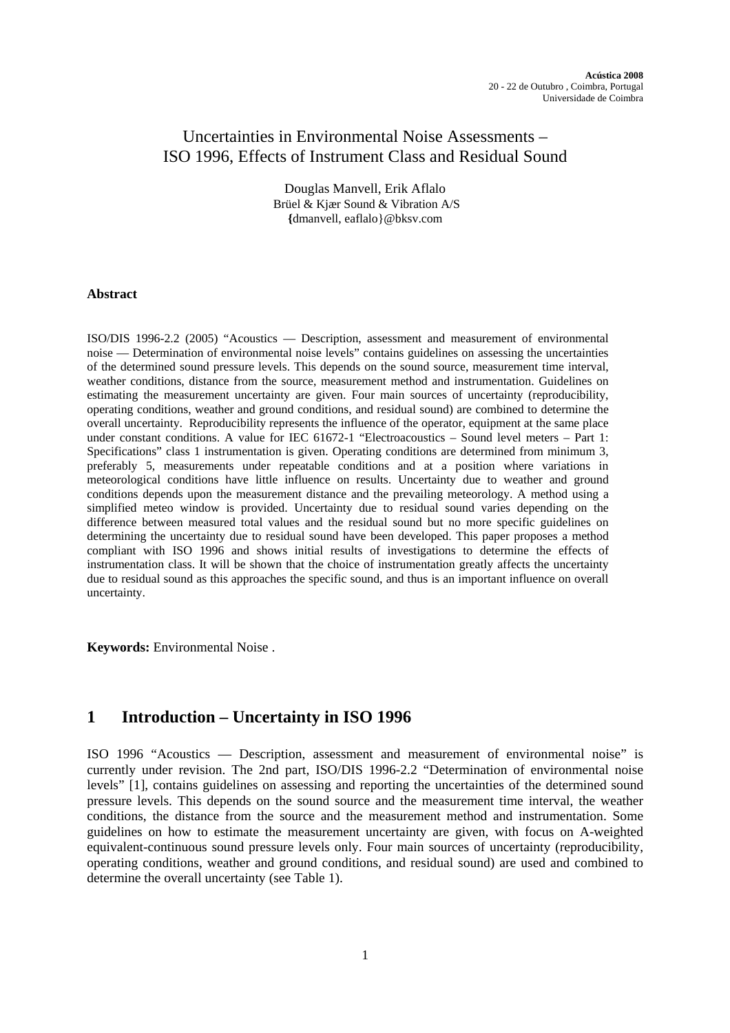### Uncertainties in Environmental Noise Assessments – ISO 1996, Effects of Instrument Class and Residual Sound

Douglas Manvell, Erik Aflalo Brüel & Kjær Sound & Vibration A/S **{**[dmanvell, eaflalo}@bksv.com](mailto:dmanvell, eaflalo%7d@bksv.com)

#### **Abstract**

ISO/DIS 1996-2.2 (2005) "Acoustics — Description, assessment and measurement of environmental noise — Determination of environmental noise levels" contains guidelines on assessing the uncertainties of the determined sound pressure levels. This depends on the sound source, measurement time interval, weather conditions, distance from the source, measurement method and instrumentation. Guidelines on estimating the measurement uncertainty are given. Four main sources of uncertainty (reproducibility, operating conditions, weather and ground conditions, and residual sound) are combined to determine the overall uncertainty. Reproducibility represents the influence of the operator, equipment at the same place under constant conditions. A value for IEC 61672-1 "Electroacoustics – Sound level meters – Part 1: Specifications" class 1 instrumentation is given. Operating conditions are determined from minimum 3, preferably 5, measurements under repeatable conditions and at a position where variations in meteorological conditions have little influence on results. Uncertainty due to weather and ground conditions depends upon the measurement distance and the prevailing meteorology. A method using a simplified meteo window is provided. Uncertainty due to residual sound varies depending on the difference between measured total values and the residual sound but no more specific guidelines on determining the uncertainty due to residual sound have been developed. This paper proposes a method compliant with ISO 1996 and shows initial results of investigations to determine the effects of instrumentation class. It will be shown that the choice of instrumentation greatly affects the uncertainty due to residual sound as this approaches the specific sound, and thus is an important influence on overall uncertainty.

**Keywords:** Environmental Noise .

# **1 Introduction – Uncertainty in ISO 1996**

ISO 1996 "Acoustics — Description, assessment and measurement of environmental noise" is currently under revision. The 2nd part, ISO/DIS 1996-2.2 "Determination of environmental noise levels" [1], contains guidelines on assessing and reporting the uncertainties of the determined sound pressure levels. This depends on the sound source and the measurement time interval, the weather conditions, the distance from the source and the measurement method and instrumentation. Some guidelines on how to estimate the measurement uncertainty are given, with focus on A-weighted equivalent-continuous sound pressure levels only. Four main sources of uncertainty (reproducibility, operating conditions, weather and ground conditions, and residual sound) are used and combined to determine the overall uncertainty (see Table 1).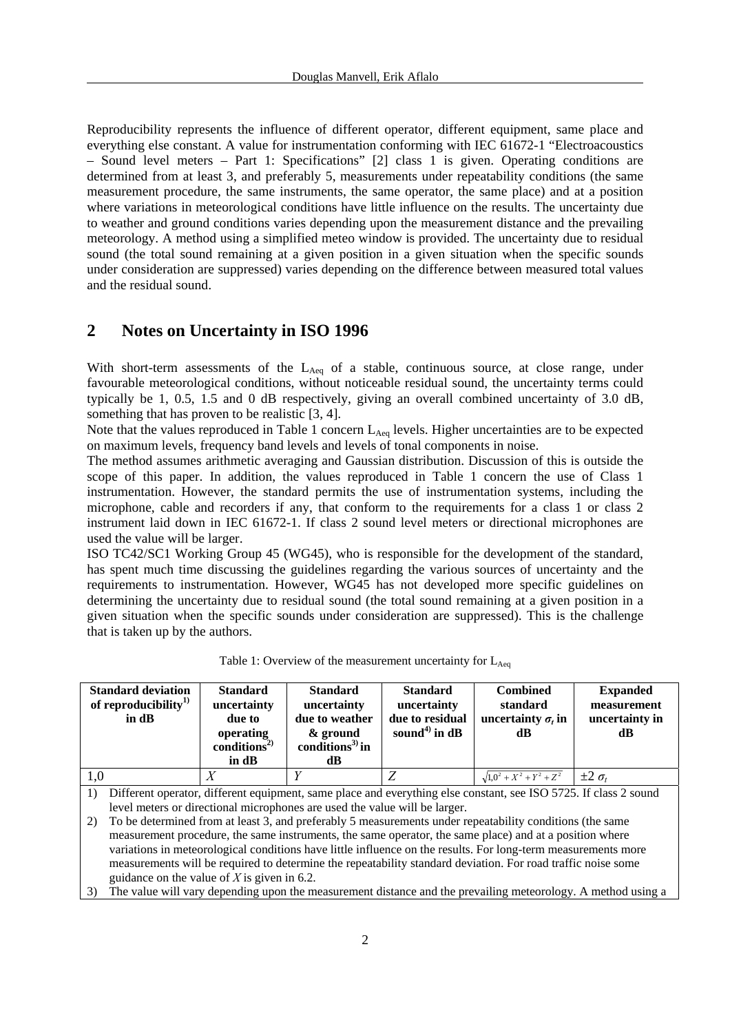Reproducibility represents the influence of different operator, different equipment, same place and everything else constant. A value for instrumentation conforming with IEC 61672-1 "Electroacoustics – Sound level meters – Part 1: Specifications" [2] class 1 is given. Operating conditions are determined from at least 3, and preferably 5, measurements under repeatability conditions (the same measurement procedure, the same instruments, the same operator, the same place) and at a position where variations in meteorological conditions have little influence on the results. The uncertainty due to weather and ground conditions varies depending upon the measurement distance and the prevailing meteorology. A method using a simplified meteo window is provided. The uncertainty due to residual sound (the total sound remaining at a given position in a given situation when the specific sounds under consideration are suppressed) varies depending on the difference between measured total values and the residual sound.

### **2 Notes on Uncertainty in ISO 1996**

With short-term assessments of the  $L_{Aeq}$  of a stable, continuous source, at close range, under favourable meteorological conditions, without noticeable residual sound, the uncertainty terms could typically be 1, 0.5, 1.5 and 0 dB respectively, giving an overall combined uncertainty of 3.0 dB, something that has proven to be realistic [3, 4].

Note that the values reproduced in Table 1 concern  $L_{Aeq}$  levels. Higher uncertainties are to be expected on maximum levels, frequency band levels and levels of tonal components in noise.

The method assumes arithmetic averaging and Gaussian distribution. Discussion of this is outside the scope of this paper. In addition, the values reproduced in Table 1 concern the use of Class 1 instrumentation. However, the standard permits the use of instrumentation systems, including the microphone, cable and recorders if any, that conform to the requirements for a class 1 or class 2 instrument laid down in IEC 61672-1. If class 2 sound level meters or directional microphones are used the value will be larger.

ISO TC42/SC1 Working Group 45 (WG45), who is responsible for the development of the standard, has spent much time discussing the guidelines regarding the various sources of uncertainty and the requirements to instrumentation. However, WG45 has not developed more specific guidelines on determining the uncertainty due to residual sound (the total sound remaining at a given position in a given situation when the specific sounds under consideration are suppressed). This is the challenge that is taken up by the authors.

| <b>Standard deviation</b><br>of reproducibility $^{1)}$ |                                                                                                               | <b>Standard</b><br>uncertainty                           | <b>Standard</b><br>uncertainty                                             | <b>Standard</b><br>uncertainty                 | <b>Combined</b><br>standard                                                                                      | <b>Expanded</b><br>measurement |
|---------------------------------------------------------|---------------------------------------------------------------------------------------------------------------|----------------------------------------------------------|----------------------------------------------------------------------------|------------------------------------------------|------------------------------------------------------------------------------------------------------------------|--------------------------------|
|                                                         | in dB                                                                                                         | due to<br>operating<br>conditions <sup>2)</sup><br>in dB | due to weather<br>& ground<br>conditions <sup>3)</sup> in<br>dB            | due to residual<br>sound <sup>4)</sup> in $dB$ | uncertainty $\sigma_t$ in<br>dB.                                                                                 | uncertainty in<br>dВ           |
| 1,0                                                     |                                                                                                               | X                                                        | Y                                                                          | Z                                              | $\sqrt{1,0^2 + X^2 + Y^2 + Z^2}$ $\pm 2 \sigma_t$                                                                |                                |
| 1)                                                      |                                                                                                               |                                                          |                                                                            |                                                | Different operator, different equipment, same place and everything else constant, see ISO 5725. If class 2 sound |                                |
|                                                         |                                                                                                               |                                                          | level meters or directional microphones are used the value will be larger. |                                                |                                                                                                                  |                                |
| 2)                                                      |                                                                                                               |                                                          |                                                                            |                                                | To be determined from at least 3, and preferably 5 measurements under repeatability conditions (the same         |                                |
|                                                         |                                                                                                               |                                                          |                                                                            |                                                | measurement procedure, the same instruments, the same operator, the same place) and at a position where          |                                |
|                                                         | variations in meteorological conditions have little influence on the results. For long-term measurements more |                                                          |                                                                            |                                                |                                                                                                                  |                                |
|                                                         | measurements will be required to determine the repeatability standard deviation. For road traffic noise some  |                                                          |                                                                            |                                                |                                                                                                                  |                                |
|                                                         | guidance on the value of $X$ is given in 6.2.                                                                 |                                                          |                                                                            |                                                |                                                                                                                  |                                |
| 3)                                                      |                                                                                                               |                                                          |                                                                            |                                                | The value will vary depending upon the measurement distance and the prevailing meteorology. A method using a     |                                |

| Table 1: Overview of the measurement uncertainty for $L_{Aeq}$ |  |  |
|----------------------------------------------------------------|--|--|
|----------------------------------------------------------------|--|--|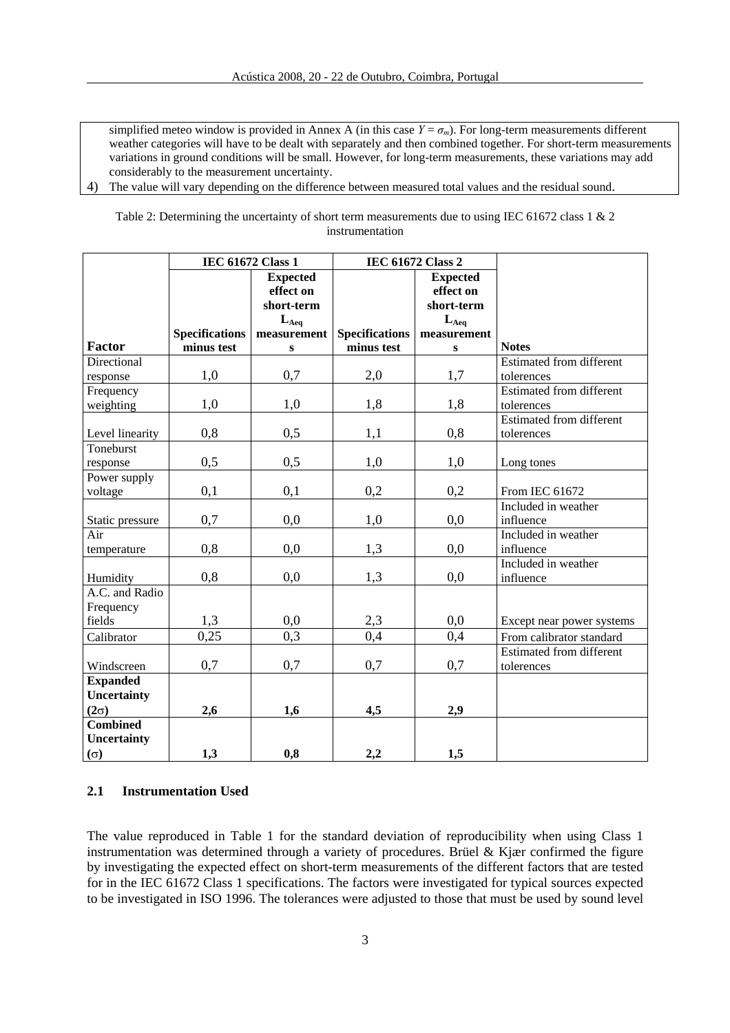simplified meteo window is provided in Annex A (in this case  $Y = \sigma_m$ ). For long-term measurements different weather categories will have to be dealt with separately and then combined together. For short-term measurements variations in ground conditions will be small. However, for long-term measurements, these variations may add considerably to the measurement uncertainty.

4) The value will vary depending on the difference between measured total values and the residual sound.

Table 2: Determining the uncertainty of short term measurements due to using IEC 61672 class 1 & 2 instrumentation

|                 |                       | <b>IEC 61672 Class 1</b> | <b>IEC 61672 Class 2</b> |                 |                                 |
|-----------------|-----------------------|--------------------------|--------------------------|-----------------|---------------------------------|
|                 |                       | <b>Expected</b>          |                          | <b>Expected</b> |                                 |
|                 |                       | effect on                |                          | effect on       |                                 |
|                 |                       | short-term               |                          | short-term      |                                 |
|                 |                       | $L_{Aeq}$                |                          | $L_{Aeq}$       |                                 |
|                 | <b>Specifications</b> | measurement              | <b>Specifications</b>    | measurement     |                                 |
| <b>Factor</b>   | minus test            | ${\bf S}$                | minus test               | ${\bf S}$       | <b>Notes</b>                    |
| Directional     |                       |                          |                          |                 | <b>Estimated from different</b> |
| response        | 1,0                   | 0,7                      | 2,0                      | 1,7             | tolerences                      |
| Frequency       |                       |                          |                          |                 | <b>Estimated from different</b> |
| weighting       | 1,0                   | 1,0                      | 1,8                      | 1,8             | tolerences                      |
|                 |                       |                          |                          |                 | <b>Estimated from different</b> |
| Level linearity | 0,8                   | 0,5                      | 1,1                      | 0,8             | tolerences                      |
| Toneburst       |                       |                          |                          |                 |                                 |
| response        | 0,5                   | 0,5                      | 1,0                      | 1,0             | Long tones                      |
| Power supply    |                       |                          |                          |                 |                                 |
| voltage         | 0,1                   | 0,1                      | 0,2                      | 0,2             | From IEC 61672                  |
|                 |                       |                          |                          |                 | Included in weather             |
| Static pressure | 0,7                   | 0,0                      | 1,0                      | 0,0             | influence                       |
| Air             |                       |                          |                          |                 | Included in weather             |
| temperature     | 0,8                   | 0,0                      | 1,3                      | 0,0             | influence                       |
|                 |                       |                          |                          |                 | Included in weather             |
| Humidity        | 0,8                   | 0,0                      | 1,3                      | 0,0             | influence                       |
| A.C. and Radio  |                       |                          |                          |                 |                                 |
| Frequency       |                       |                          |                          |                 |                                 |
| fields          | 1,3                   | 0,0                      | 2,3                      | 0,0             | Except near power systems       |
| Calibrator      | 0,25                  | 0,3                      | 0,4                      | 0,4             | From calibrator standard        |
|                 |                       |                          |                          |                 | <b>Estimated from different</b> |
| Windscreen      | 0,7                   | 0,7                      | 0,7                      | 0,7             | tolerences                      |
| <b>Expanded</b> |                       |                          |                          |                 |                                 |
| Uncertainty     |                       |                          |                          |                 |                                 |
| $(2\sigma)$     | 2,6                   | 1,6                      | 4,5                      | 2,9             |                                 |
| <b>Combined</b> |                       |                          |                          |                 |                                 |
| Uncertainty     |                       |                          |                          |                 |                                 |
| $(\sigma)$      | 1,3                   | 0,8                      | 2,2                      | 1,5             |                                 |

#### **2.1 Instrumentation Used**

The value reproduced in Table 1 for the standard deviation of reproducibility when using Class 1 instrumentation was determined through a variety of procedures. Brüel & Kjær confirmed the figure by investigating the expected effect on short-term measurements of the different factors that are tested for in the IEC 61672 Class 1 specifications. The factors were investigated for typical sources expected to be investigated in ISO 1996. The tolerances were adjusted to those that must be used by sound level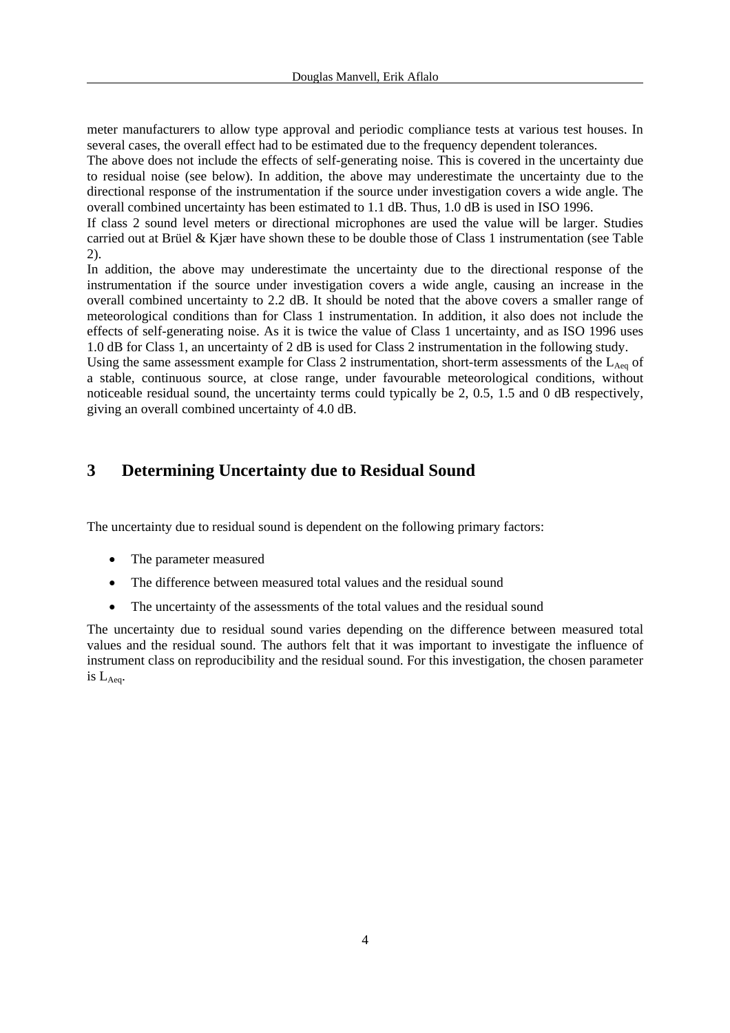meter manufacturers to allow type approval and periodic compliance tests at various test houses. In several cases, the overall effect had to be estimated due to the frequency dependent tolerances.

The above does not include the effects of self-generating noise. This is covered in the uncertainty due to residual noise (see below). In addition, the above may underestimate the uncertainty due to the directional response of the instrumentation if the source under investigation covers a wide angle. The overall combined uncertainty has been estimated to 1.1 dB. Thus, 1.0 dB is used in ISO 1996.

If class 2 sound level meters or directional microphones are used the value will be larger. Studies carried out at Brüel & Kjær have shown these to be double those of Class 1 instrumentation (see Table 2).

In addition, the above may underestimate the uncertainty due to the directional response of the instrumentation if the source under investigation covers a wide angle, causing an increase in the overall combined uncertainty to 2.2 dB. It should be noted that the above covers a smaller range of meteorological conditions than for Class 1 instrumentation. In addition, it also does not include the effects of self-generating noise. As it is twice the value of Class 1 uncertainty, and as ISO 1996 uses 1.0 dB for Class 1, an uncertainty of 2 dB is used for Class 2 instrumentation in the following study.

Using the same assessment example for Class 2 instrumentation, short-term assessments of the L<sub>Aeq</sub> of a stable, continuous source, at close range, under favourable meteorological conditions, without noticeable residual sound, the uncertainty terms could typically be 2, 0.5, 1.5 and 0 dB respectively, giving an overall combined uncertainty of 4.0 dB.

## **3 Determining Uncertainty due to Residual Sound**

The uncertainty due to residual sound is dependent on the following primary factors:

- The parameter measured
- The difference between measured total values and the residual sound
- The uncertainty of the assessments of the total values and the residual sound

The uncertainty due to residual sound varies depending on the difference between measured total values and the residual sound. The authors felt that it was important to investigate the influence of instrument class on reproducibility and the residual sound. For this investigation, the chosen parameter is LAeq.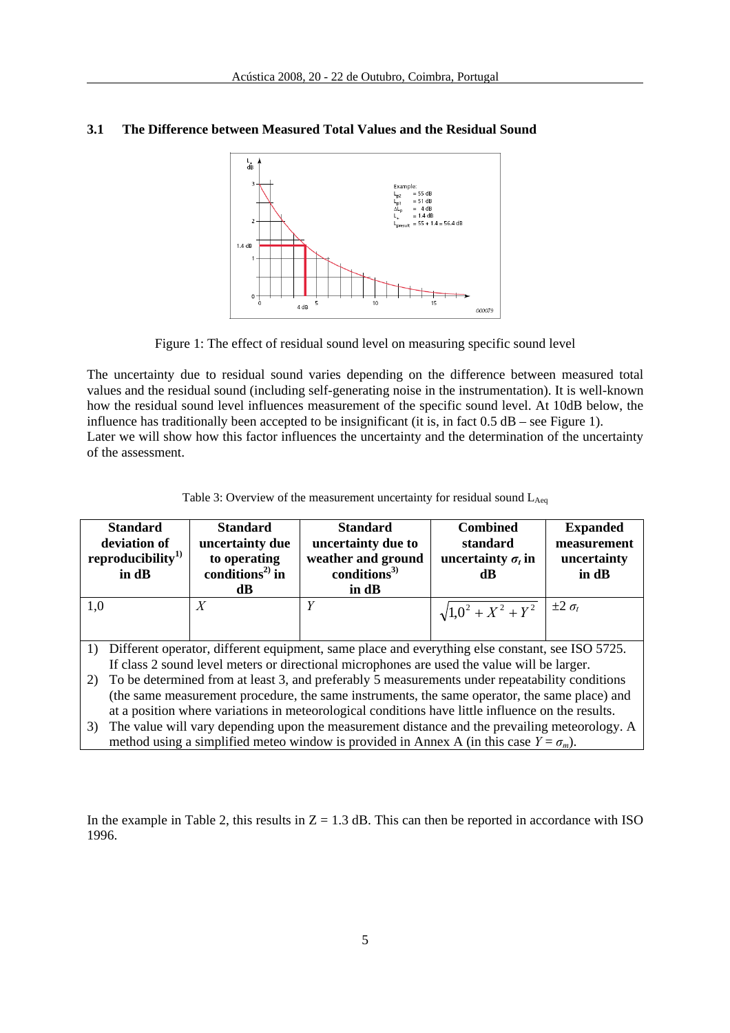

#### **3.1 The Difference between Measured Total Values and the Residual Sound**



The uncertainty due to residual sound varies depending on the difference between measured total values and the residual sound (including self-generating noise in the instrumentation). It is well-known how the residual sound level influences measurement of the specific sound level. At 10dB below, the influence has traditionally been accepted to be insignificant (it is, in fact 0.5 dB – see Figure 1). Later we will show how this factor influences the uncertainty and the determination of the uncertainty of the assessment.

| Table 3: Overview of the measurement uncertainty for residual sound $L_{Aeq}$ |  |  |
|-------------------------------------------------------------------------------|--|--|
|-------------------------------------------------------------------------------|--|--|

| <b>Standard</b><br>deviation of<br>reproducibility <sup>1)</sup><br>in dB                                                                                                                            | <b>Standard</b><br>uncertainty due<br>to operating<br>conditions <sup>2)</sup> in<br>dB. | <b>Standard</b><br>uncertainty due to<br>weather and ground<br>conditions $3)$<br>in dB           | <b>Combined</b><br>standard<br>uncertainty $\sigma_t$ in<br>dB | <b>Expanded</b><br>measurement<br>uncertainty<br>in dB |  |  |
|------------------------------------------------------------------------------------------------------------------------------------------------------------------------------------------------------|------------------------------------------------------------------------------------------|---------------------------------------------------------------------------------------------------|----------------------------------------------------------------|--------------------------------------------------------|--|--|
| 1,0                                                                                                                                                                                                  | X                                                                                        |                                                                                                   | $\sqrt{1,0^2 + X^2 + Y^2}$ $\mid \pm 2 \sigma_t$               |                                                        |  |  |
|                                                                                                                                                                                                      |                                                                                          |                                                                                                   |                                                                |                                                        |  |  |
| Different operator, different equipment, same place and everything else constant, see ISO 5725.<br>1)<br>If class 2 sound level meters or directional microphones are used the value will be larger. |                                                                                          |                                                                                                   |                                                                |                                                        |  |  |
|                                                                                                                                                                                                      |                                                                                          |                                                                                                   |                                                                |                                                        |  |  |
|                                                                                                                                                                                                      |                                                                                          | 2) To be determined from at least 3, and preferably 5 measurements under repeatability conditions |                                                                |                                                        |  |  |

2) To be determined from at least 3, and preferably 5 measurements under repeatability conditions (the same measurement procedure, the same instruments, the same operator, the same place) and at a position where variations in meteorological conditions have little influence on the results.

3) The value will vary depending upon the measurement distance and the prevailing meteorology. A method using a simplified meteo window is provided in Annex A (in this case  $Y = \sigma_m$ ).

In the example in Table 2, this results in  $Z = 1.3$  dB. This can then be reported in accordance with ISO 1996.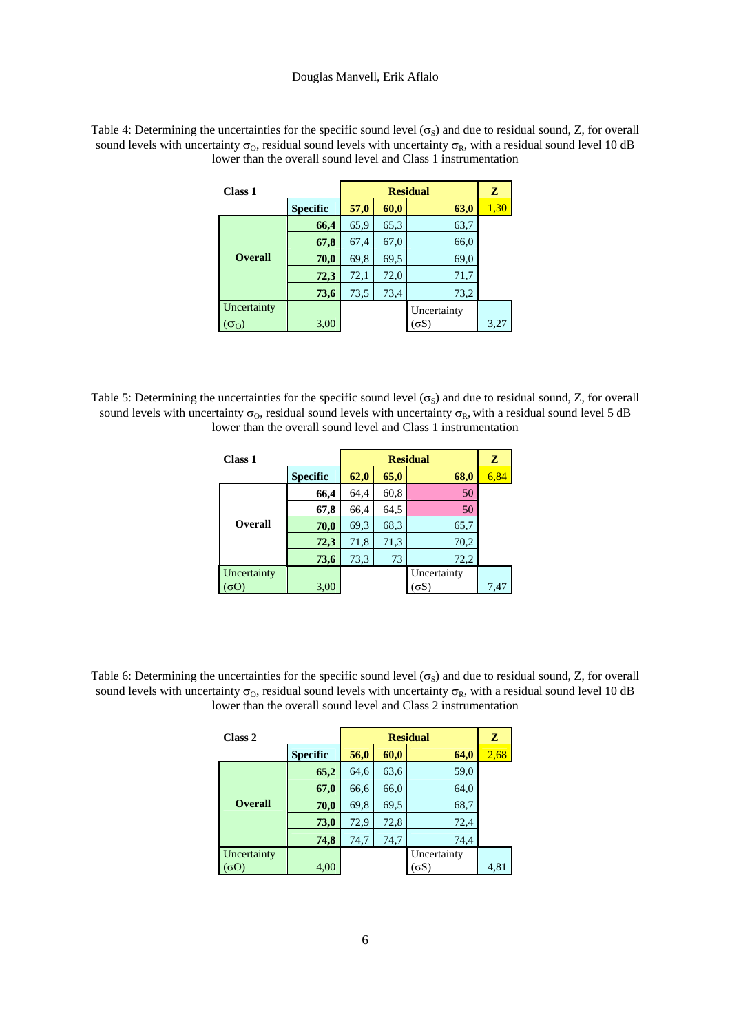| Class 1        |                 | <b>Residual</b> |      |             | z    |
|----------------|-----------------|-----------------|------|-------------|------|
|                | <b>Specific</b> | 57,0            | 60,0 | 63,0        | 1,30 |
|                | 66,4            | 65,9            | 65,3 | 63,7        |      |
|                | 67,8            | 67,4            | 67,0 | 66,0        |      |
| <b>Overall</b> | 70,0            | 69,8            | 69.5 | 69,0        |      |
|                | 72,3            | 72,1            | 72,0 | 71,7        |      |
|                | 73,6            | 73,5            | 73,4 | 73,2        |      |
| Uncertainty    |                 |                 |      | Uncertainty |      |
|                | 3,00            |                 |      | σS          | 3,27 |

Table 4: Determining the uncertainties for the specific sound level  $(\sigma_S)$  and due to residual sound, Z, for overall sound levels with uncertainty  $\sigma_0$ , residual sound levels with uncertainty  $\sigma_R$ , with a residual sound level 10 dB lower than the overall sound level and Class 1 instrumentation

Table 5: Determining the uncertainties for the specific sound level ( $\sigma_s$ ) and due to residual sound, Z, for overall sound levels with uncertainty  $\sigma_0$ , residual sound levels with uncertainty  $\sigma_R$ , with a residual sound level 5 dB lower than the overall sound level and Class 1 instrumentation

| <b>Class 1</b> |                 |      | z    |             |      |
|----------------|-----------------|------|------|-------------|------|
|                | <b>Specific</b> | 62,0 | 65,0 | 68,0        | 6,84 |
|                | 66,4            | 64,4 | 60,8 | 50          |      |
|                | 67,8            | 66,4 | 64,5 | 50          |      |
| <b>Overall</b> | 70,0            | 69,3 | 68,3 | 65,7        |      |
|                | 72,3            | 71,8 | 71,3 | 70,2        |      |
|                | 73,6            | 73,3 | 73   | 72,2        |      |
| Uncertainty    |                 |      |      | Uncertainty |      |
|                | 3,00            |      |      | $\sigma S$  | 7,47 |

Table 6: Determining the uncertainties for the specific sound level  $(\sigma_S)$  and due to residual sound, Z, for overall sound levels with uncertainty  $\sigma_0$ , residual sound levels with uncertainty  $\sigma_R$ , with a residual sound level 10 dB lower than the overall sound level and Class 2 instrumentation

| Class 2          |                 |      | z    |             |      |
|------------------|-----------------|------|------|-------------|------|
|                  | <b>Specific</b> | 56,0 | 60,0 | 64,0        | 2,68 |
|                  | 65,2            | 64,6 | 63,6 | 59,0        |      |
|                  | 67,0            | 66,6 | 66,0 | 64,0        |      |
| <b>Overall</b>   | 70,0            | 69,8 | 69,5 | 68,7        |      |
|                  | 73,0            | 72,9 | 72,8 | 72,4        |      |
|                  | 74,8            | 74,7 | 74,7 | 74,4        |      |
| Uncertainty      |                 |      |      | Uncertainty |      |
| $\alpha_{\rm O}$ | 4,00            |      |      | $\sigma S$  | 4,81 |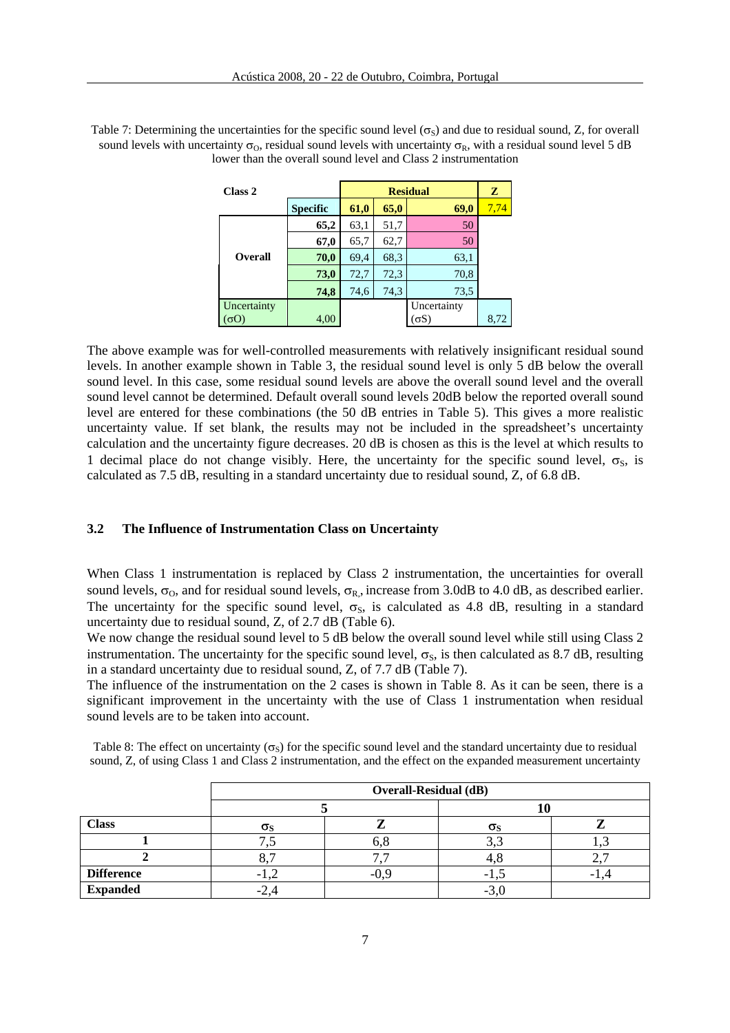| Class 2        |                 |      | z    |             |      |
|----------------|-----------------|------|------|-------------|------|
|                | <b>Specific</b> | 61,0 | 65,0 | 69,0        | 7,74 |
|                | 65,2            | 63,1 | 51,7 | 50          |      |
|                | 67,0            | 65,7 | 62,7 | 50          |      |
| <b>Overall</b> | 70,0            | 69,4 | 68.3 | 63,1        |      |
|                | 73,0            | 72,7 | 72,3 | 70,8        |      |
|                | 74,8            | 74,6 | 74,3 | 73,5        |      |
| Uncertainty    |                 |      |      | Uncertainty |      |
|                | 4,00            |      |      | σS          | 8,72 |

Table 7: Determining the uncertainties for the specific sound level ( $\sigma_s$ ) and due to residual sound, Z, for overall sound levels with uncertainty  $\sigma_0$ , residual sound levels with uncertainty  $\sigma_R$ , with a residual sound level 5 dB lower than the overall sound level and Class 2 instrumentation

The above example was for well-controlled measurements with relatively insignificant residual sound levels. In another example shown in Table 3, the residual sound level is only 5 dB below the overall sound level. In this case, some residual sound levels are above the overall sound level and the overall sound level cannot be determined. Default overall sound levels 20dB below the reported overall sound level are entered for these combinations (the 50 dB entries in Table 5). This gives a more realistic uncertainty value. If set blank, the results may not be included in the spreadsheet's uncertainty calculation and the uncertainty figure decreases. 20 dB is chosen as this is the level at which results to 1 decimal place do not change visibly. Here, the uncertainty for the specific sound level,  $\sigma_s$ , is calculated as 7.5 dB, resulting in a standard uncertainty due to residual sound, Z, of 6.8 dB.

### **3.2 The Influence of Instrumentation Class on Uncertainty**

When Class 1 instrumentation is replaced by Class 2 instrumentation, the uncertainties for overall sound levels,  $\sigma_0$ , and for residual sound levels,  $\sigma_R$ , increase from 3.0dB to 4.0 dB, as described earlier. The uncertainty for the specific sound level,  $\sigma_s$ , is calculated as 4.8 dB, resulting in a standard uncertainty due to residual sound, Z, of 2.7 dB (Table 6).

We now change the residual sound level to 5 dB below the overall sound level while still using Class 2 instrumentation. The uncertainty for the specific sound level,  $\sigma_s$ , is then calculated as 8.7 dB, resulting in a standard uncertainty due to residual sound, Z, of 7.7 dB (Table 7).

The influence of the instrumentation on the 2 cases is shown in Table 8. As it can be seen, there is a significant improvement in the uncertainty with the use of Class 1 instrumentation when residual sound levels are to be taken into account.

|                   | <b>Overall-Residual (dB)</b> |  |                  |  |  |  |  |
|-------------------|------------------------------|--|------------------|--|--|--|--|
|                   |                              |  |                  |  |  |  |  |
| <b>Class</b>      | $\sigma_{\rm S}$             |  | $\sigma_{\rm S}$ |  |  |  |  |
|                   |                              |  |                  |  |  |  |  |
|                   |                              |  |                  |  |  |  |  |
| <b>Difference</b> | ۰                            |  | -1.              |  |  |  |  |
| <b>Expanded</b>   |                              |  | -9.U             |  |  |  |  |

Table 8: The effect on uncertainty ( $\sigma_s$ ) for the specific sound level and the standard uncertainty due to residual sound, Z, of using Class 1 and Class 2 instrumentation, and the effect on the expanded measurement uncertainty